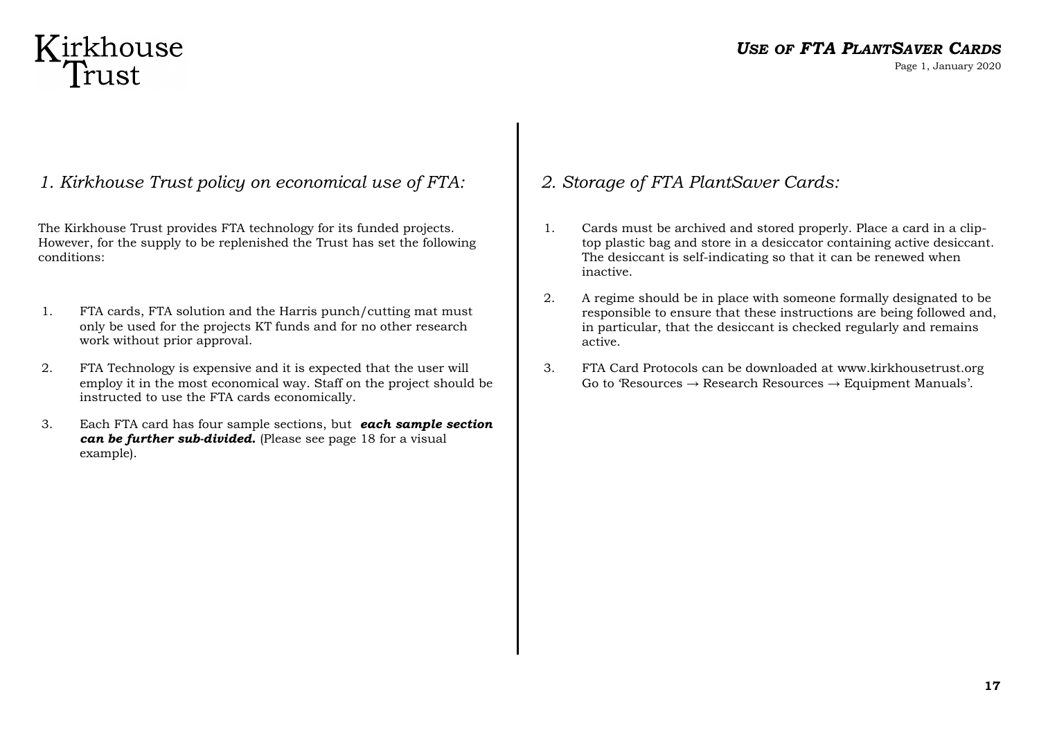# Kirkhouse<br>Trust

## *USE OF FTA PLANTSAVER CARDS*

Page 1, January 2020

### *1. Kirkhouse Trust policy on economical use of FTA:*

The Kirkhouse Trust provides FTA technology for its funded projects. However, for the supply to be replenished the Trust has set the following conditions:

- 1. FTA cards, FTA solution and the Harris punch/cutting mat must only be used for the projects KT funds and for no other research work without prior approval.
- 2. FTA Technology is expensive and it is expected that the user will employ it in the most economical way. Staff on the project should be instructed to use the FTA cards economically.
- 3. Each FTA card has four sample sections, but *each sample section can be further sub-divided.* (Please see page 18 for a visual example).

## *2. Storage of FTA PlantSaver Cards:*

- 1. Cards must be archived and stored properly. Place a card in a cliptop plastic bag and store in a desiccator containing active desiccant. The desiccant is self-indicating so that it can be renewed when inactive.
- 2. A regime should be in place with someone formally designated to be responsible to ensure that these instructions are being followed and, in particular, that the desiccant is checked regularly and remains active.
- 3. FTA Card Protocols can be downloaded at www.kirkhousetrust.org Go to 'Resources  $\rightarrow$  Research Resources  $\rightarrow$  Equipment Manuals'.